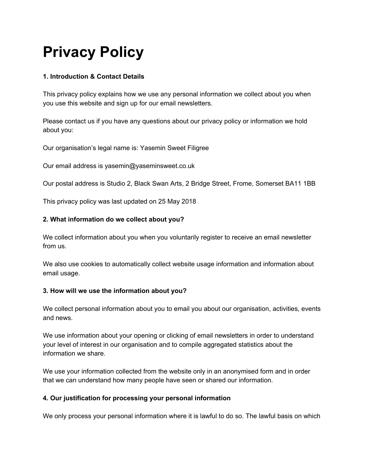# **Privacy Policy**

# **1. Introduction & Contact Details**

This privacy policy explains how we use any personal information we collect about you when you use this website and sign up for our email newsletters.

Please contact us if you have any questions about our privacy policy or information we hold about you:

Our organisation's legal name is: Yasemin Sweet Filigree

Our email address is yasemin@yaseminsweet.co.uk

Our postal address is Studio 2, Black Swan Arts, 2 Bridge Street, Frome, Somerset BA11 1BB

This privacy policy was last updated on 25 May 2018

#### **2. What information do we collect about you?**

We collect information about you when you voluntarily register to receive an email newsletter from us.

We also use cookies to automatically collect website usage information and information about email usage.

#### **3. How will we use the information about you?**

We collect personal information about you to email you about our organisation, activities, events and news.

We use information about your opening or clicking of email newsletters in order to understand your level of interest in our organisation and to compile aggregated statistics about the information we share.

We use your information collected from the website only in an anonymised form and in order that we can understand how many people have seen or shared our information.

## **4. Our justification for processing your personal information**

We only process your personal information where it is lawful to do so. The lawful basis on which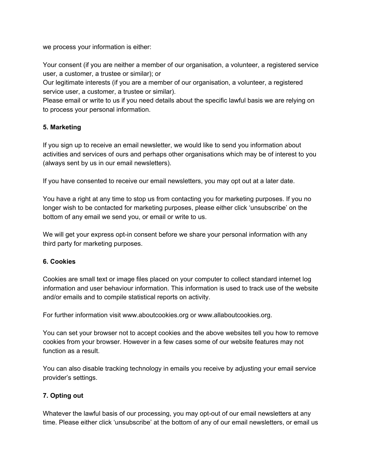we process your information is either:

Your consent (if you are neither a member of our organisation, a volunteer, a registered service user, a customer, a trustee or similar); or

Our legitimate interests (if you are a member of our organisation, a volunteer, a registered service user, a customer, a trustee or similar).

Please email or write to us if you need details about the specific lawful basis we are relying on to process your personal information.

## **5. Marketing**

If you sign up to receive an email newsletter, we would like to send you information about activities and services of ours and perhaps other organisations which may be of interest to you (always sent by us in our email newsletters).

If you have consented to receive our email newsletters, you may opt out at a later date.

You have a right at any time to stop us from contacting you for marketing purposes. If you no longer wish to be contacted for marketing purposes, please either click 'unsubscribe' on the bottom of any email we send you, or email or write to us.

We will get your express opt-in consent before we share your personal information with any third party for marketing purposes.

## **6. Cookies**

Cookies are small text or image files placed on your computer to collect standard internet log information and user behaviour information. This information is used to track use of the website and/or emails and to compile statistical reports on activity.

For further information visit www.aboutcookies.org or www.allaboutcookies.org.

You can set your browser not to accept cookies and the above websites tell you how to remove cookies from your browser. However in a few cases some of our website features may not function as a result.

You can also disable tracking technology in emails you receive by adjusting your email service provider's settings.

# **7. Opting out**

Whatever the lawful basis of our processing, you may opt-out of our email newsletters at any time. Please either click 'unsubscribe' at the bottom of any of our email newsletters, or email us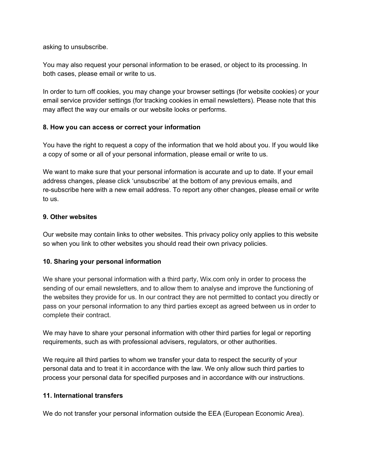asking to unsubscribe.

You may also request your personal information to be erased, or object to its processing. In both cases, please email or write to us.

In order to turn off cookies, you may change your browser settings (for website cookies) or your email service provider settings (for tracking cookies in email newsletters). Please note that this may affect the way our emails or our website looks or performs.

## **8. How you can access or correct your information**

You have the right to request a copy of the information that we hold about you. If you would like a copy of some or all of your personal information, please email or write to us.

We want to make sure that your personal information is accurate and up to date. If your email address changes, please click 'unsubscribe' at the bottom of any previous emails, and re-subscribe here with a new email address. To report any other changes, please email or write to us.

#### **9. Other websites**

Our website may contain links to other websites. This privacy policy only applies to this website so when you link to other websites you should read their own privacy policies.

## **10. Sharing your personal information**

We share your personal information with a third party, Wix.com only in order to process the sending of our email newsletters, and to allow them to analyse and improve the functioning of the websites they provide for us. In our contract they are not permitted to contact you directly or pass on your personal information to any third parties except as agreed between us in order to complete their contract.

We may have to share your personal information with other third parties for legal or reporting requirements, such as with professional advisers, regulators, or other authorities.

We require all third parties to whom we transfer your data to respect the security of your personal data and to treat it in accordance with the law. We only allow such third parties to process your personal data for specified purposes and in accordance with our instructions.

#### **11. International transfers**

We do not transfer your personal information outside the EEA (European Economic Area).